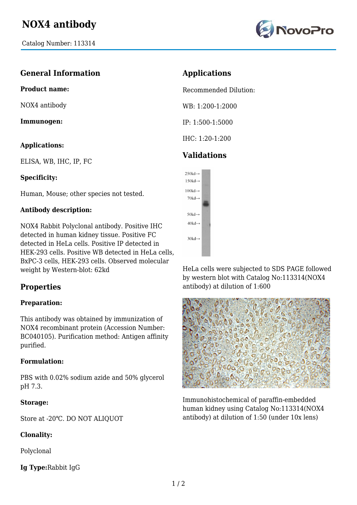

## **General Information**

**Product name:**

NOX4 antibody

**Immunogen:**

#### **Applications:**

ELISA, WB, IHC, IP, FC

## **Specificity:**

Human, Mouse; other species not tested.

## **Antibody description:**

NOX4 Rabbit Polyclonal antibody. Positive IHC detected in human kidney tissue. Positive FC detected in HeLa cells. Positive IP detected in HEK-293 cells. Positive WB detected in HeLa cells, BxPC-3 cells, HEK-293 cells. Observed molecular weight by Western-blot: 62kd

# **Properties**

## **Preparation:**

This antibody was obtained by immunization of NOX4 recombinant protein (Accession Number: BC040105). Purification method: Antigen affinity purified.

#### **Formulation:**

PBS with 0.02% sodium azide and 50% glycerol pH 7.3.

#### **Storage:**

Store at -20℃. DO NOT ALIQUOT

## **Clonality:**

Polyclonal

**Ig Type:**Rabbit IgG

# **Applications**

Recommended Dilution:

WB: 1:200-1:2000

IP: 1:500-1:5000

IHC: 1:20-1:200

# **Validations**



HeLa cells were subjected to SDS PAGE followed by western blot with Catalog No:113314(NOX4 antibody) at dilution of 1:600



Immunohistochemical of paraffin-embedded human kidney using Catalog No:113314(NOX4 antibody) at dilution of 1:50 (under 10x lens)